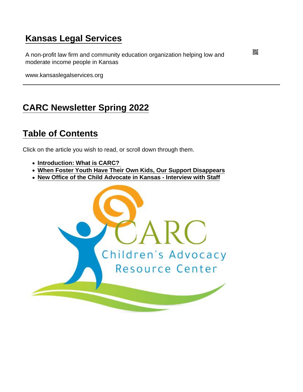### <span id="page-0-0"></span>[Kansas Legal Services](https://www.kansaslegalservices.org/)

A non-profit law firm and community education organization helping low and moderate income people in Kansas

www.kansaslegalservices.org

# [CARC Newsletter Spring 2022](https://www.kansaslegalservices.org/node/2510/carc-newsletter-spring-2022)

### [Table of Contents](https://www.kansaslegalservices.org/node/2488)

Click on the article you wish to read, or scroll down through them.

- Introduction: What is CARC?
- [When Foster Youth Have Their Own Kids, Our Support Disappears](#page-1-0)
- [New Office of the Child Advocate in Kansas Interview with Staff](#page-3-0)
- [Case Study by Lowell Paul](#page-6-0)
- [This is Not How You Fix Things](#page-9-0)
- [How CARC Reaches Out to Our Kansas Communities](#page-12-0)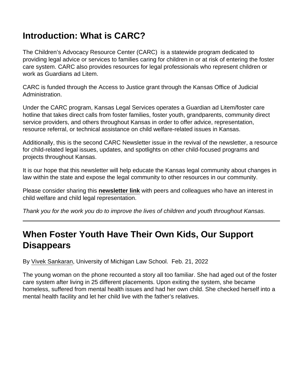# <span id="page-1-0"></span>Introduction: What is CARC?

The Children's Advocacy Resource Center (CARC) is a statewide program dedicated to providing legal advice or services to families caring for children in or at risk of entering the foster care system. CARC also provides resources for legal professionals who represent children or work as Guardians ad Litem.

CARC is funded through the Access to Justice grant through the Kansas Office of Judicial Administration.

Under the CARC program, Kansas Legal Services operates a Guardian ad Litem/foster care hotline that takes direct calls from foster families, foster youth, grandparents, community direct service providers, and others throughout Kansas in order to offer advice, representation, resource referral, or technical assistance on child welfare-related issues in Kansas.

Additionally, this is the second CARC Newsletter issue in the revival of the newsletter, a resource for child-related legal issues, updates, and spotlights on other child-focused programs and projects throughout Kansas.

It is our hope that this newsletter will help educate the Kansas legal community about changes in law within the state and expose the legal community to other resources in our community.

Please consider sharing this [newsletter link](https://www.kansaslegalservices.org/node/2510) with peers and colleagues who have an interest in child welfare and child legal representation.

Thank you for the work you do to improve the lives of children and youth throughout Kansas.

# When Foster Youth Have Their Own Kids, Our Support **Disappears**

By [Vivek Sankaran](#page-3-0), University of Michigan Law School. Feb. 21, 2022

The young woman on the phone recounted a story all too familiar. She had aged out of the foster care system after living in 25 different placements. Upon exiting the system, she became homeless, suffered from mental health issues and had her own child. She checked herself into a mental health facility and let her child live with the father's relatives.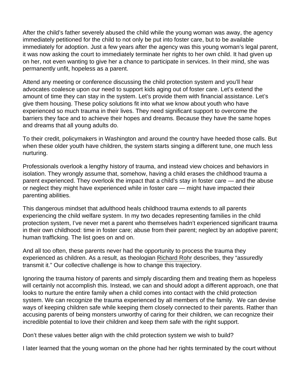After the child's father severely abused the child while the young woman was away, the agency immediately petitioned for the child to not only be put into foster care, but to be available immediately for adoption. Just a few years after the agency was this young woman's legal parent, it was now asking the court to immediately terminate her rights to her own child. It had given up on her, not even wanting to give her a chance to participate in services. In their mind, she was permanently unfit, hopeless as a parent.

Attend any meeting or conference discussing the child protection system and you'll hear advocates coalesce upon our need to support kids aging out of foster care. Let's extend the amount of time they can stay in the system. Let's provide them with financial assistance. Let's give them housing. These policy solutions fit into what we know about youth who have experienced so much trauma in their lives. They need significant support to overcome the barriers they face and to achieve their hopes and dreams. Because they have the same hopes and dreams that all young adults do.

To their credit, policymakers in Washington and around the country have heeded those calls. But when these older youth have children, the system starts singing a different tune, one much less nurturing.

Professionals overlook a lengthy history of trauma, and instead view choices and behaviors in isolation. They wrongly assume that, somehow, having a child erases the childhood trauma a parent experienced. They overlook the impact that a child's stay in foster care — and the abuse or neglect they might have experienced while in foster care — might have impacted their parenting abilities.

This dangerous mindset that adulthood heals childhood trauma extends to all parents experiencing the child welfare system. In my two decades representing families in the child protection system, I've never met a parent who themselves hadn't experienced significant trauma in their own childhood: time in foster care; abuse from their parent; neglect by an adoptive parent; human trafficking. The list goes on and on.

And all too often, these parents never had the opportunity to process the trauma they experienced as children. As a result, as theologian [Richard Rohr](https://cac.org/) describes, they "assuredly transmit it." Our collective challenge is how to change this trajectory.

Ignoring the trauma history of parents and simply discarding them and treating them as hopeless will certainly not accomplish this. Instead, we can and should adopt a different approach, one that looks to nurture the entire family when a child comes into contact with the child protection system. We can recognize the trauma experienced by all members of the family. We can devise ways of keeping children safe while keeping them closely connected to their parents. Rather than accusing parents of being monsters unworthy of caring for their children, we can recognize their incredible potential to love their children and keep them safe with the right support.

Don't these values better align with the child protection system we wish to build?

I later learned that the young woman on the phone had her rights terminated by the court without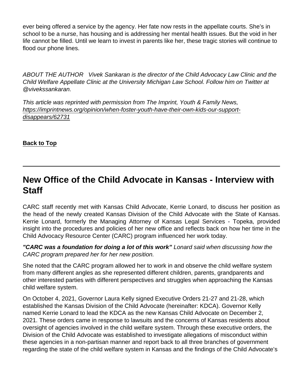<span id="page-3-0"></span>ever being offered a service by the agency. Her fate now rests in the appellate courts. She's in school to be a nurse, has housing and is addressing her mental health issues. But the void in her life cannot be filled. Until we learn to invest in parents like her, these tragic stories will continue to flood our phone lines.

ABOUT THE AUTHOR Vivek Sankaran is the director of the Child Advocacy Law Clinic and the Child Welfare Appellate Clinic at the University Michigan Law School. Follow him on Twitter at @vivekssankaran.

This article was reprinted with permission from The Imprint, Youth & Family News, [https://imprintnews.org/opinion/when-foster-youth-have-their-own-kids-our-support](https://imprintnews.org/opinion/when-foster-youth-have-their-own-kids-our-support-disappears/62731)[disappears/62731](https://imprintnews.org/opinion/when-foster-youth-have-their-own-kids-our-support-disappears/62731)

[Back to Top](#page-0-0)

### New Office of the Child Advocate in Kansas - Interview with **Staff**

CARC staff recently met with Kansas Child Advocate, Kerrie Lonard, to discuss her position as the head of the newly created Kansas Division of the Child Advocate with the State of Kansas. Kerrie Lonard, formerly the Managing Attorney of Kansas Legal Services - Topeka, provided insight into the procedures and policies of her new office and reflects back on how her time in the Child Advocacy Resource Center (CARC) program influenced her work today.

"CARC was a foundation for doing a lot of this work" Lonard said when discussing how the CARC program prepared her for her new position.

She noted that the CARC program allowed her to work in and observe the child welfare system from many different angles as she represented different children, parents, grandparents and other interested parties with different perspectives and struggles when approaching the Kansas child welfare system.

On October 4, 2021, Governor Laura Kelly signed Executive Orders 21-27 and 21-28, which established the Kansas Division of the Child Advocate (hereinafter: KDCA). Governor Kelly named Kerrie Lonard to lead the KDCA as the new Kansas Child Advocate on December 2, 2021. These orders came in response to lawsuits and the concerns of Kansas residents about oversight of agencies involved in the child welfare system. Through these executive orders, the Division of the Child Advocate was established to investigate allegations of misconduct within these agencies in a non-partisan manner and report back to all three branches of government regarding the state of the child welfare system in Kansas and the findings of the Child Advocate's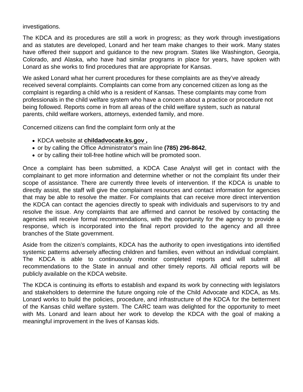investigations.

The KDCA and its procedures are still a work in progress; as they work through investigations and as statutes are developed, Lonard and her team make changes to their work. Many states have offered their support and guidance to the new program. States like Washington, Georgia, Colorado, and Alaska, who have had similar programs in place for years, have spoken with Lonard as she works to find procedures that are appropriate for Kansas.

We asked Lonard what her current procedures for these complaints are as they've already received several complaints. Complaints can come from any concerned citizen as long as the complaint is regarding a child who is a resident of Kansas. These complaints may come from professionals in the child welfare system who have a concern about a practice or procedure not being followed. Reports come in from all areas of the child welfare system, such as natural parents, child welfare workers, attorneys, extended family, and more.

Concerned citizens can find the complaint form only at the

- KDCA website at childadvocate.ks.gov,
- or by calling the Office Administrator's main line (785) 296-8642,
- or by calling their toll-free hotline which will be promoted soon.

Once a complaint has been submitted, a KDCA Case Analyst will get in contact with the complainant to get more information and determine whether or not the complaint fits under their scope of assistance. There are currently three levels of intervention. If the KDCA is unable to directly assist, the staff will give the complainant resources and contact information for agencies that may be able to resolve the matter. For complaints that can receive more direct intervention the KDCA can contact the agencies directly to speak with individuals and supervisors to try and resolve the issue. Any complaints that are affirmed and cannot be resolved by contacting the agencies will receive formal recommendations, with the opportunity for the agency to provide a response, which is incorporated into the final report provided to the agency and all three branches of the State government.

Aside from the citizen's complaints, KDCA has the authority to open investigations into identified systemic patterns adversely affecting children and families, even without an individual complaint. The KDCA is able to continuously monitor completed reports and will submit all recommendations to the State in annual and other timely reports. All official reports will be publicly available on the KDCA website.

The KDCA is continuing its efforts to establish and expand its work by connecting with legislators and stakeholders to determine the future ongoing role of the Child Advocate and KDCA, as Ms. Lonard works to build the policies, procedure, and infrastructure of the KDCA for the betterment of the Kansas child welfare system. The CARC team was delighted for the opportunity to meet with Ms. Lonard and learn about her work to develop the KDCA with the goal of making a meaningful improvement in the lives of Kansas kids.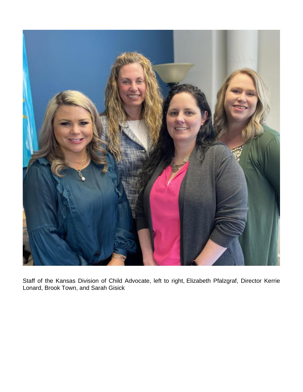

Staff of the Kansas Division of Child Advocate, left to right, Elizabeth Pfalzgraf, Director Kerrie Lonard, Brook Town, and Sarah Gisick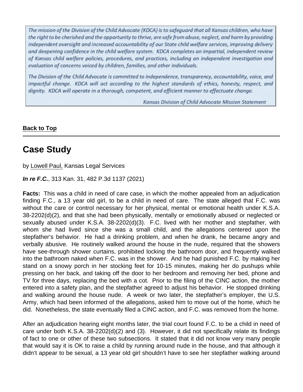#### <span id="page-6-0"></span>Case Study

by [Lowell Paul](https://www.kansaslegalservices.org/node/2488/carc-newsletter-winter-2021-2022#about the author 2)[,](#page-9-0) Kansas Legal Services

In re F.C., 313 Kan. 31, 482 P.3d 1137 (2021)

Facts: This was a child in need of care case, in which the mother appealed from an adjudication finding F.C., a 13 year old girl, to be a child in need of care. The state alleged that F.C. was without the care or control necessary for her physical, mental or emotional health under K.S.A. 38-2202(d)(2), and that she had been physically, mentally or emotionally abused or neglected or sexually abused under K.S.A. 38-2202(d)(3). F.C. lived with her mother and stepfather, with whom she had lived since she was a small child, and the allegations centered upon the stepfather's behavior. He had a drinking problem, and when he drank, he became angry and verbally abusive. He routinely walked around the house in the nude, required that the showers have see-through shower curtains, prohibited locking the bathroom door, and frequently walked into the bathroom naked when F.C. was in the shower. And he had punished F.C. by making her stand on a snowy porch in her stocking feet for 10-15 minutes, making her do pushups while pressing on her back, and taking off the door to her bedroom and removing her bed, phone and TV for three days, replacing the bed with a cot. Prior to the filing of the CINC action, the mother entered into a safety plan, and the stepfather agreed to adjust his behavior. He stopped drinking and walking around the house nude. A week or two later, the stepfather's employer, the U.S. Army, which had been informed of the allegations, asked him to move out of the home, which he did. Nonetheless, the state eventually filed a CINC action, and F.C. was removed from the home.

After an adjudication hearing eight months later, the trial court found F.C. to be a child in need of care under both K.S.A. 38-2202(d)(2) and (3). However, it did not specifically relate its findings of fact to one or other of these two subsections. It stated that it did not know very many people that would say it is OK to raise a child by running around nude in the house, and that although it didn't appear to be sexual, a 13 year old girl shouldn't have to see her stepfather walking around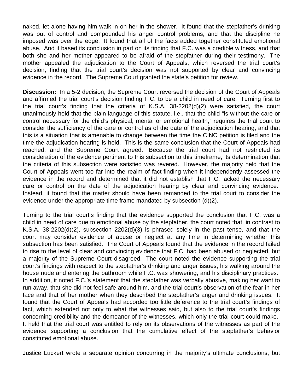naked, let alone having him walk in on her in the shower. It found that the stepfather's drinking was out of control and compounded his anger control problems, and that the discipline he imposed was over the edge. It found that all of the facts added together constituted emotional abuse. And it based its conclusion in part on its finding that F.C. was a credible witness, and that both she and her mother appeared to be afraid of the stepfather during their testimony. The mother appealed the adjudication to the Court of Appeals, which reversed the trial court's decision, finding that the trial court's decision was not supported by clear and convincing evidence in the record. The Supreme Court granted the state's petition for review.

**Discussion:** In a 5-2 decision, the Supreme Court reversed the decision of the Court of Appeals and affirmed the trial court's decision finding F.C. to be a child in need of care. Turning first to the trial court's finding that the criteria of K.S.A. 38-2202(d)(2) were satisfied, the court unanimously held that the plain language of this statute, i.e., that the child "is without the care or control necessary for the child's physical, mental or emotional health," requires the trial court to consider the sufficiency of the care or control as of the date of the adjudication hearing, and that this is a situation that is amenable to change between the time the CINC petition is filed and the time the adjudication hearing is held. This is the same conclusion that the Court of Appeals had reached, and the Supreme Court agreed. Because the trial court had not restricted its consideration of the evidence pertinent to this subsection to this timeframe, its determination that the criteria of this subsection were satisfied was revered. However, the majority held that the Court of Appeals went too far into the realm of fact-finding when it independently assessed the evidence in the record and determined that it did not establish that F.C. lacked the necessary care or control on the date of the adjudication hearing by clear and convincing evidence. Instead, it found that the matter should have been remanded to the trial court to consider the evidence under the appropriate time frame mandated by subsection (d)(2).

Turning to the trial court's finding that the evidence supported the conclusion that F.C. was a child in need of care due to emotional abuse by the stepfather, the court noted that, in contrast to K.S.A. 38-2202(d)(2), subsection 2202(d)(3) is phrased solely in the past tense, and that the court may consider evidence of abuse or neglect at any time in determining whether this subsection has been satisfied. The Court of Appeals found that the evidence in the record failed to rise to the level of clear and convincing evidence that F.C. had been abused or neglected, but a majority of the Supreme Court disagreed. The court noted the evidence supporting the trial court's findings with respect to the stepfather's drinking and anger issues, his walking around the house nude and entering the bathroom while F.C. was showering, and his disciplinary practices. In addition, it noted F.C.'s statement that the stepfather was verbally abusive, making her want to run away, that she did not feel safe around him, and the trial court's observation of the fear in her face and that of her mother when they described the stepfather's anger and drinking issues. It found that the Court of Appeals had accorded too little deference to the trial court's findings of fact, which extended not only to what the witnesses said, but also to the trial court's findings concerning credibility and the demeanor of the witnesses, which only the trial court could make. It held that the trial court was entitled to rely on its observations of the witnesses as part of the evidence supporting a conclusion that the cumulative effect of the stepfather's behavior constituted emotional abuse.

Justice Luckert wrote a separate opinion concurring in the majority's ultimate conclusions, but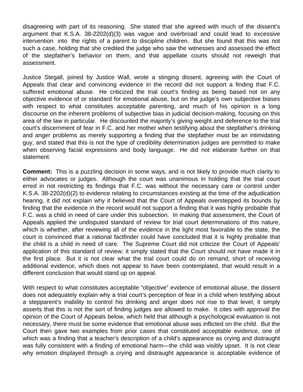disagreeing with part of its reasoning. She stated that she agreed with much of the dissent's argument that K.S.A. 38-2202(d)(3) was vague and overbroad and could lead to excessive intervention into the rights of a parent to discipline children. But she found that this was not such a case, holding that she credited the judge who saw the witnesses and assessed the effect of the stepfather's behavior on them, and that appellate courts should not reweigh that assessment.

Justice Stegall, joined by Justice Wall, wrote a stinging dissent, agreeing with the Court of Appeals that clear and convincing evidence in the record did not support a finding that F.C. suffered emotional abuse. He criticized the trial court's finding as being based not on any objective evidence of or standard for emotional abuse, but on the judge's own subjective biases with respect to what constitutes acceptable parenting, and much of his opinion is a long discourse on the inherent problems of subjective bias in judicial decision-making, focusing on this area of the law in particular. He discounted the majority's giving weight and deference to the trial court's discernment of fear in F.C. and her mother when testifying about the stepfather's drinking and anger problems as merely supporting a finding that the stepfather must be an intimidating guy, and stated that this is not the type of credibility determination judges are permitted to make when observing facial expressions and body language. He did not elaborate further on that statement.

**Comment:** This is a puzzling decision in some ways, and is not likely to provide much clarity to either advocates or judges. Although the court was unanimous in holding that the trial court erred in not restricting its findings that F.C. was without the necessary care or control under K.S.A. 38-2202(d)(2) to evidence relating to circumstances existing at the time of the adjudication hearing, it did not explain why it believed that the Court of Appeals overstepped its bounds by finding that the evidence in the record would not support a finding that it was highly probable that F.C. was a child in need of care under this subsection. In making that assessment, the Court of Appeals applied the undisputed standard of review for trial court determinations of this nature, which is whether, after reviewing all of the evidence in the light most favorable to the state, the court is convinced that a rational factfinder could have concluded that it is highly probable that the child is a child in need of care. The Supreme Court did not criticize the Court of Appeals' application of this standard of review; it simply stated that the Court should not have made it in the first place. But it is not clear what the trial court could do on remand, short of receiving additional evidence, which does not appear to have been contemplated, that would result in a different conclusion that would stand up on appeal.

With respect to what constitutes acceptable "objective" evidence of emotional abuse, the dissent does not adequately explain why a trial court's perception of fear in a child when testifying about a stepparent's inability to control his drinking and anger does not rise to that level; it simply asserts that this is not the sort of finding judges are allowed to make. It cites with approval the opinion of the Court of Appeals below, which held that although a psychological evaluation is not necessary, there must be some evidence that emotional abuse was inflicted on the child. But the Court then gave two examples from prior cases that constituted acceptable evidence, one of which was a finding that a teacher's description of a child's appearance as crying and distraught was fully consistent with a finding of emotional harm—the child was visibly upset. It is not clear why emotion displayed through a crying and distraught appearance is acceptable evidence of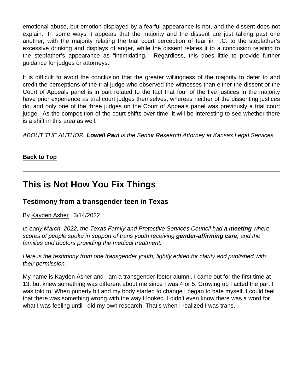<span id="page-9-0"></span>emotional abuse, but emotion displayed by a fearful appearance is not, and the dissent does not explain. In some ways it appears that the majority and the dissent are just talking past one another, with the majority relating the trial court perception of fear in F.C. to the stepfather's excessive drinking and displays of anger, while the dissent relates it to a conclusion relating to the stepfather's appearance as "intimidating." Regardless, this does little to provide further guidance for judges or attorneys.

It is difficult to avoid the conclusion that the greater willingness of the majority to defer to and credit the perceptions of the trial judge who observed the witnesses than either the dissent or the Court of Appeals panel is in part related to the fact that four of the five justices in the majority have prior experience as trial court judges themselves, whereas neither of the dissenting justices do, and only one of the three judges on the Court of Appeals panel was previously a trial court judge. As the composition of the court shifts over time, it will be interesting to see whether there is a shift in this area as well.

ABOUT THE AUTHOR Lowell Paul is the Senior Research Attorney at Kansas Legal Services

[Back to Top](#page-0-0)

#### This is Not How You Fix Things

Testimony from a transgender teen in Texas

By [Kayden Asher](#page-12-0) 3/14/2022

In early March, 2022, the Texas Family and Protective Services Council had [a meeting](https://www.kxan.com/news/texas/children-will-die-families-warn-dfps-about-abbotts-transgender-directive/) where scores of people spoke in support of trans youth receiving [gender-affirming care](https://imprintnews.org/child-welfare-2/texas-parents-and-advocates-fight-for-transgender-youth/63022) , and the families and doctors providing the medical treatment.

Here is the testimony from one transgender youth, lightly edited for clarity and published with their permission.

My name is Kayden Asher and I am a transgender foster alumni. I came out for the first time at 13, but knew something was different about me since I was 4 or 5. Growing up I acted the part I was told to. When puberty hit and my body started to change I began to hate myself. I could feel that there was something wrong with the way I looked. I didn't even know there was a word for what I was feeling until I did my own research. That's when I realized I was trans.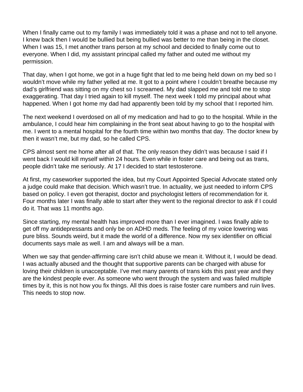When I finally came out to my family I was immediately told it was a phase and not to tell anyone. I knew back then I would be bullied but being bullied was better to me than being in the closet. When I was 15, I met another trans person at my school and decided to finally come out to everyone. When I did, my assistant principal called my father and outed me without my permission.

That day, when I got home, we got in a huge fight that led to me being held down on my bed so I wouldn't move while my father yelled at me. It got to a point where I couldn't breathe because my dad's girlfriend was sitting on my chest so I screamed. My dad slapped me and told me to stop exaggerating. That day I tried again to kill myself. The next week I told my principal about what happened. When I got home my dad had apparently been told by my school that I reported him.

The next weekend I overdosed on all of my medication and had to go to the hospital. While in the ambulance, I could hear him complaining in the front seat about having to go to the hospital with me. I went to a mental hospital for the fourth time within two months that day. The doctor knew by then it wasn't me, but my dad, so he called CPS.

CPS almost sent me home after all of that. The only reason they didn't was because I said if I went back I would kill myself within 24 hours. Even while in foster care and being out as trans, people didn't take me seriously. At 17 I decided to start testosterone.

At first, my caseworker supported the idea, but my Court Appointed Special Advocate stated only a judge could make that decision. Which wasn't true. In actuality, we just needed to inform CPS based on policy. I even got therapist, doctor and psychologist letters of recommendation for it. Four months later I was finally able to start after they went to the regional director to ask if I could do it. That was 11 months ago.

Since starting, my mental health has improved more than I ever imagined. I was finally able to get off my antidepressants and only be on ADHD meds. The feeling of my voice lowering was pure bliss. Sounds weird, but it made the world of a difference. Now my sex identifier on official documents says male as well. I am and always will be a man.

When we say that gender-affirming care isn't child abuse we mean it. Without it, I would be dead. I was actually abused and the thought that supportive parents can be charged with abuse for loving their children is unacceptable. I've met many parents of trans kids this past year and they are the kindest people ever. As someone who went through the system and was failed multiple times by it, this is not how you fix things. All this does is raise foster care numbers and ruin lives. This needs to stop now.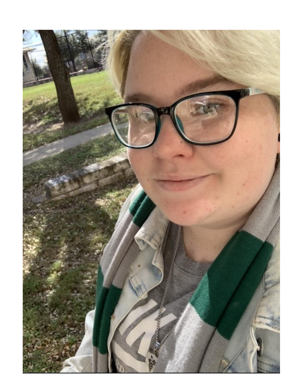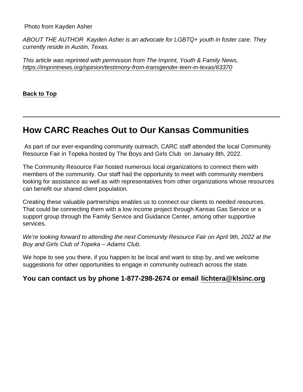<span id="page-12-0"></span>Photo from Kayden Asher

ABOUT THE AUTHOR Kayden Asher is an advocate for LGBTQ+ youth in foster care. They currently reside in Austin, Texas.

This article was reprinted with permission from The Imprint, Youth & Family News, <https://imprintnews.org/opinion/testimony-from-transgender-teen-in-texas/63370>

[Back to Top](#page-0-0)

#### How CARC Reaches Out to Our Kansas Communities

 As part of our ever-expanding community outreach, CARC staff attended the local Community Resource Fair in Topeka hosted by The Boys and Girls Club on January 8th, 2022.

The Community Resource Fair hosted numerous local organizations to connect them with members of the community. Our staff had the opportunity to meet with community members looking for assistance as well as with representatives from other organizations whose resources can benefit our shared client population.

Creating these valuable partnerships enables us to connect our clients to needed resources. That could be connecting them with a low income project through Kansas Gas Service or a support group through the Family Service and Guidance Center, among other supportive services.

We're looking forward to attending the next Community Resource Fair on April 9th, 2022 at the Boy and Girls Club of Topeka – Adams Club.

We hope to see you there, if you happen to be local and want to stop by, and we welcome suggestions for other opportunities to engage in community outreach across the state.

You can contact us by phone 1-877-298-2674 or email [lichtera@klsinc.org](mailto:lichtera@klsinc.org)